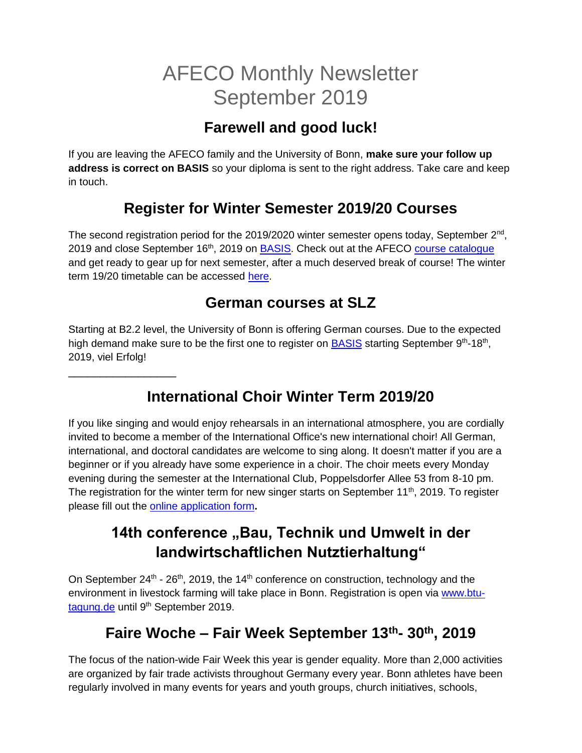# AFECO Monthly Newsletter September 2019

# **Farewell and good luck!**

If you are leaving the AFECO family and the University of Bonn, **make sure your follow up address is correct on BASIS** so your diploma is sent to the right address. Take care and keep in touch.

# **Register for Winter Semester 2019/20 Courses**

The second registration period for the 2019/2020 winter semester opens today, September 2<sup>nd</sup>, 2019 and close September 16<sup>th</sup>, 2019 on **BASIS**. Check out at the AFECO [course catalogue](https://www.lf.uni-bonn.de/en/downloads/studying/coursebook/modules-msc-afeco) and get ready to gear up for next semester, after a much deserved break of course! The winter term 19/20 timetable can be accessed [here.](https://www.ilr.uni-bonn.de/afeco/AFECO_Timetable_Winter2019.xlsx)

#### **German courses at SLZ**

Starting at B2.2 level, the University of Bonn is offering German courses. Due to the expected high demand make sure to be the first one to register on **BASIS** starting September 9<sup>th</sup>-18<sup>th</sup>, 2019, viel Erfolg!

\_\_\_\_\_\_\_\_\_\_\_\_\_\_\_\_\_

# **International Choir Winter Term 2019/20**

If you like singing and would enjoy rehearsals in an international atmosphere, you are cordially invited to become a member of the International Office's new international choir! All German, international, and doctoral candidates are welcome to sing along. It doesn't matter if you are a beginner or if you already have some experience in a choir. The choir meets every Monday evening during the semester at the International Club, Poppelsdorfer Allee 53 from 8-10 pm. The registration for the winter term for new singer starts on September  $11<sup>th</sup>$ , 2019. To register please fill out the [online application form](https://uni-bn.de/OdgoAj7FT2)**.**

# **14th conference "Bau, Technik und Umwelt in der landwirtschaftlichen Nutztierhaltung"**

On September  $24^{\text{th}}$  -  $26^{\text{th}}$ , 2019, the 14<sup>th</sup> conference on construction, technology and the environment in livestock farming will take place in Bonn. Registration is open via [www.btu](http://www.btu-tagung.de/)[tagung.de](http://www.btu-tagung.de/) until 9<sup>th</sup> September 2019.

# **Faire Woche – Fair Week September 13th- 30th, 2019**

The focus of the nation-wide Fair Week this year is gender equality. More than 2,000 activities are organized by fair trade activists throughout Germany every year. Bonn athletes have been regularly involved in many events for years and youth groups, church initiatives, schools,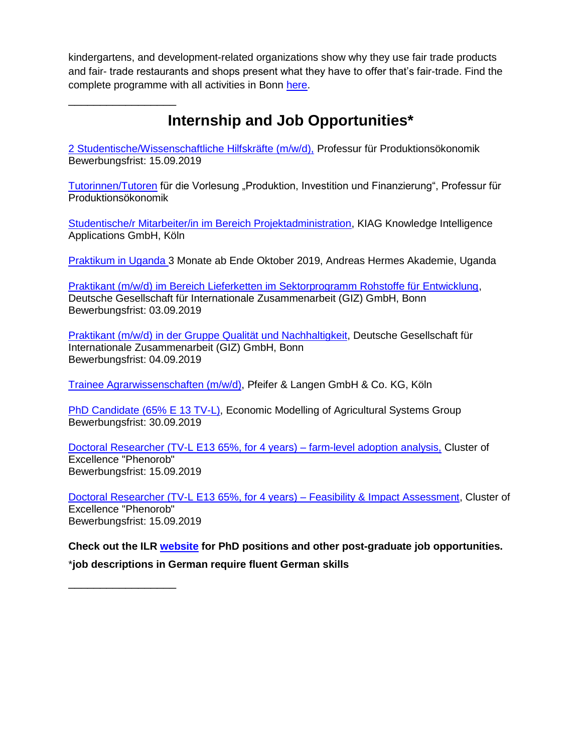kindergartens, and development-related organizations show why they use fair trade products and fair- trade restaurants and shops present what they have to offer that's fair-trade. Find the complete programme with all activities in Bonn [here.](https://www.bonn.de/medien-global/amt-56/lokale-agenda/Faire_Woche_Programmheft_2019.pdf)

# **Internship and Job Opportunities\***

[2 Studentische/Wissenschaftliche Hilfskräfte \(m/w/d\),](https://www.ilr1.uni-bonn.de/de/jobs/pe-zwei-hilfskraefte-final.pdf) Professur für Produktionsökonomik Bewerbungsfrist: 15.09.2019

[Tutorinnen/Tutoren](https://www.ilr.uni-bonn.de/pe/pdf/stellen/Tutorensuche1920.pdf) für die Vorlesung "Produktion, Investition und Finanzierung", Professur für Produktionsökonomik

[Studentische/r Mitarbeiter/in im Bereich Projektadministration,](https://www.ilr1.uni-bonn.de/de/jobs/2019-08-09-stellenausschreibung-stma-projektadmin-unibonn-1.0-r.pdf) KIAG Knowledge Intelligence Applications GmbH, Köln

[Praktikum in Uganda 3](https://www.ilr1.uni-bonn.de/de/jobs/ugandaausschreibung2019.pdf) Monate ab Ende Oktober 2019, Andreas Hermes Akademie, Uganda

Praktikant (m/w/d) im Bereich Lieferketten im Sektorprogramm Rohstoffe für Entwicklung. Deutsche Gesellschaft für Internationale Zusammenarbeit (GIZ) GmbH, Bonn Bewerbungsfrist: 03.09.2019

[Praktikant \(m/w/d\) in der Gruppe Qualität und Nachhaltigkeit,](https://jobs.giz.de/index.php?ac=jobad&&id=45368) Deutsche Gesellschaft für Internationale Zusammenarbeit (GIZ) GmbH, Bonn Bewerbungsfrist: 04.09.2019

[Trainee Agrarwissenschaften \(m/w/d\),](https://www.pfeifer-langen.com/de/karriere.html) Pfeifer & Langen GmbH & Co. KG, Köln

[PhD Candidate \(65% E 13 TV-L\),](https://www.ilr.uni-bonn.de/central/PhDCandidatePhenorob_EM.pdf) Economic Modelling of Agricultural Systems Group Bewerbungsfrist: 30.09.2019

[Doctoral Researcher \(TV-L E13 65%, for 4 years\) –](https://www.ilr1.uni-bonn.de/de/jobs/phenorob-phd-cp6-adoption-analysis.pdf) farm-level adoption analysis, Cluster of Excellence "Phenorob" Bewerbungsfrist: 15.09.2019

[Doctoral Researcher \(TV-L E13 65%, for 4 years\) –](https://www.ilr1.uni-bonn.de/de/jobs/phenorob-phd-cp6-impact-assessment-v2.pdf) Feasibility & Impact Assessment, Cluster of Excellence "Phenorob" Bewerbungsfrist: 15.09.2019

**Check out the ILR [website](https://www.ilr1.uni-bonn.de/de/jobs/stellenanzeigen) for PhD positions and other post-graduate job opportunities.** \***job descriptions in German require fluent German skills**

\_\_\_\_\_\_\_\_\_\_\_\_\_\_\_\_\_

\_\_\_\_\_\_\_\_\_\_\_\_\_\_\_\_\_